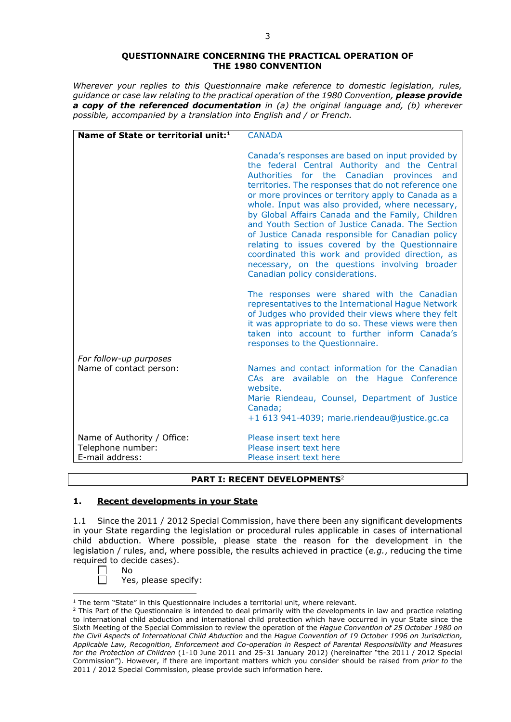### **QUESTIONNAIRE CONCERNING THE PRACTICAL OPERATION OF THE 1980 CONVENTION**

*Wherever your replies to this Questionnaire make reference to domestic legislation, rules, guidance or case law relating to the practical operation of the 1980 Convention, please provide a copy of the referenced documentation in (a) the original language and, (b) wherever possible, accompanied by a translation into English and / or French.* 

| Name of State or territorial unit: <sup>1</sup> | <b>CANADA</b>                                                                                                                                                                                                                                                                                                                                                                                                                                                                                                                                                                                                                                                                   |
|-------------------------------------------------|---------------------------------------------------------------------------------------------------------------------------------------------------------------------------------------------------------------------------------------------------------------------------------------------------------------------------------------------------------------------------------------------------------------------------------------------------------------------------------------------------------------------------------------------------------------------------------------------------------------------------------------------------------------------------------|
|                                                 | Canada's responses are based on input provided by<br>the federal Central Authority and the Central<br>Authorities for the Canadian provinces<br>and<br>territories. The responses that do not reference one<br>or more provinces or territory apply to Canada as a<br>whole. Input was also provided, where necessary,<br>by Global Affairs Canada and the Family, Children<br>and Youth Section of Justice Canada. The Section<br>of Justice Canada responsible for Canadian policy<br>relating to issues covered by the Questionnaire<br>coordinated this work and provided direction, as<br>necessary, on the questions involving broader<br>Canadian policy considerations. |
|                                                 | The responses were shared with the Canadian<br>representatives to the International Hague Network<br>of Judges who provided their views where they felt<br>it was appropriate to do so. These views were then<br>taken into account to further inform Canada's<br>responses to the Questionnaire.                                                                                                                                                                                                                                                                                                                                                                               |
| For follow-up purposes                          |                                                                                                                                                                                                                                                                                                                                                                                                                                                                                                                                                                                                                                                                                 |
| Name of contact person:                         | Names and contact information for the Canadian<br>CAs are available on the Hague Conference<br>website.<br>Marie Riendeau, Counsel, Department of Justice<br>Canada;<br>+1 613 941-4039; marie.riendeau@justice.gc.ca                                                                                                                                                                                                                                                                                                                                                                                                                                                           |
| Name of Authority / Office:                     | Please insert text here                                                                                                                                                                                                                                                                                                                                                                                                                                                                                                                                                                                                                                                         |
| Telephone number:                               | Please insert text here                                                                                                                                                                                                                                                                                                                                                                                                                                                                                                                                                                                                                                                         |
| E-mail address:                                 | Please insert text here                                                                                                                                                                                                                                                                                                                                                                                                                                                                                                                                                                                                                                                         |

# **PART I: RECENT DEVELOPMENTS**<sup>2</sup>

## **1. Recent developments in your State**

1.1 Since the 2011 / 2012 Special Commission, have there been any significant developments in your State regarding the legislation or procedural rules applicable in cases of international child abduction. Where possible, please state the reason for the development in the legislation / rules, and, where possible, the results achieved in practice (*e.g.*, reducing the time required to decide cases).

⊏ No

Yes, please specify:

<sup>&</sup>lt;u>.</u> <sup>1</sup> The term "State" in this Questionnaire includes a territorial unit, where relevant.

<sup>&</sup>lt;sup>2</sup> This Part of the Questionnaire is intended to deal primarily with the developments in law and practice relating to international child abduction and international child protection which have occurred in your State since the Sixth Meeting of the Special Commission to review the operation of the *Hague Convention of 25 October 1980 on the Civil Aspects of International Child Abduction* and the *Hague Convention of 19 October 1996 on Jurisdiction, Applicable Law, Recognition, Enforcement and Co-operation in Respect of Parental Responsibility and Measures for the Protection of Children* (1-10 June 2011 and 25-31 January 2012) (hereinafter "the 2011 / 2012 Special Commission"). However, if there are important matters which you consider should be raised from *prior to* the 2011 / 2012 Special Commission, please provide such information here.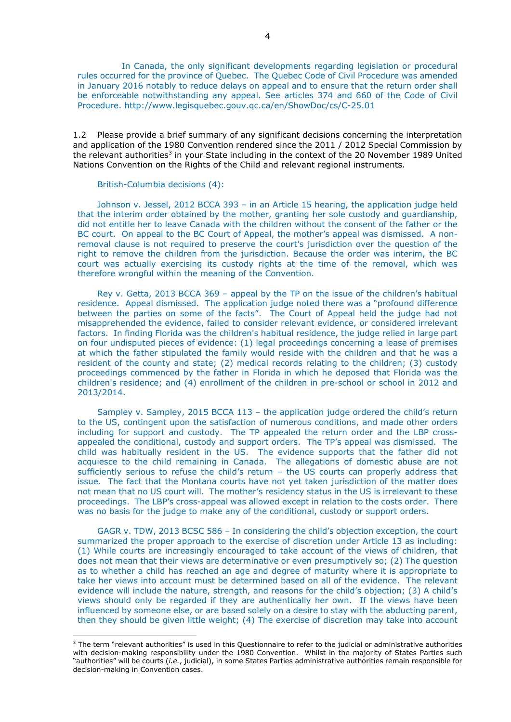In Canada, the only significant developments regarding legislation or procedural rules occurred for the province of Quebec. The Quebec Code of Civil Procedure was amended in January 2016 notably to reduce delays on appeal and to ensure that the return order shall be enforceable notwithstanding any appeal. See articles 374 and 660 of the Code of Civil Procedure. http://www.legisquebec.gouv.qc.ca/en/ShowDoc/cs/C-25.01

1.2 Please provide a brief summary of any significant decisions concerning the interpretation and application of the 1980 Convention rendered since the 2011 / 2012 Special Commission by the relevant authorities<sup>3</sup> in your State including in the context of the 20 November 1989 United Nations Convention on the Rights of the Child and relevant regional instruments.

#### British-Columbia decisions (4):

-

Johnson v. Jessel, 2012 BCCA 393 – in an Article 15 hearing, the application judge held that the interim order obtained by the mother, granting her sole custody and guardianship, did not entitle her to leave Canada with the children without the consent of the father or the BC court. On appeal to the BC Court of Appeal, the mother's appeal was dismissed. A nonremoval clause is not required to preserve the court's jurisdiction over the question of the right to remove the children from the jurisdiction. Because the order was interim, the BC court was actually exercising its custody rights at the time of the removal, which was therefore wrongful within the meaning of the Convention.

Rey v. Getta, 2013 BCCA 369 – appeal by the TP on the issue of the children's habitual residence. Appeal dismissed. The application judge noted there was a "profound difference between the parties on some of the facts". The Court of Appeal held the judge had not misapprehended the evidence, failed to consider relevant evidence, or considered irrelevant factors. In finding Florida was the children's habitual residence, the judge relied in large part on four undisputed pieces of evidence: (1) legal proceedings concerning a lease of premises at which the father stipulated the family would reside with the children and that he was a resident of the county and state; (2) medical records relating to the children; (3) custody proceedings commenced by the father in Florida in which he deposed that Florida was the children's residence; and (4) enrollment of the children in pre-school or school in 2012 and 2013/2014.

Sampley v. Sampley, 2015 BCCA 113 – the application judge ordered the child's return to the US, contingent upon the satisfaction of numerous conditions, and made other orders including for support and custody. The TP appealed the return order and the LBP crossappealed the conditional, custody and support orders. The TP's appeal was dismissed. The child was habitually resident in the US. The evidence supports that the father did not acquiesce to the child remaining in Canada. The allegations of domestic abuse are not sufficiently serious to refuse the child's return – the US courts can properly address that issue. The fact that the Montana courts have not yet taken jurisdiction of the matter does not mean that no US court will. The mother's residency status in the US is irrelevant to these proceedings. The LBP's cross-appeal was allowed except in relation to the costs order. There was no basis for the judge to make any of the conditional, custody or support orders.

GAGR v. TDW, 2013 BCSC 586 – In considering the child's objection exception, the court summarized the proper approach to the exercise of discretion under Article 13 as including: (1) While courts are increasingly encouraged to take account of the views of children, that does not mean that their views are determinative or even presumptively so; (2) The question as to whether a child has reached an age and degree of maturity where it is appropriate to take her views into account must be determined based on all of the evidence. The relevant evidence will include the nature, strength, and reasons for the child's objection; (3) A child's views should only be regarded if they are authentically her own. If the views have been influenced by someone else, or are based solely on a desire to stay with the abducting parent, then they should be given little weight; (4) The exercise of discretion may take into account

<sup>&</sup>lt;sup>3</sup> The term "relevant authorities" is used in this Questionnaire to refer to the judicial or administrative authorities with decision-making responsibility under the 1980 Convention. Whilst in the majority of States Parties such "authorities" will be courts (*i.e.*, judicial), in some States Parties administrative authorities remain responsible for decision-making in Convention cases.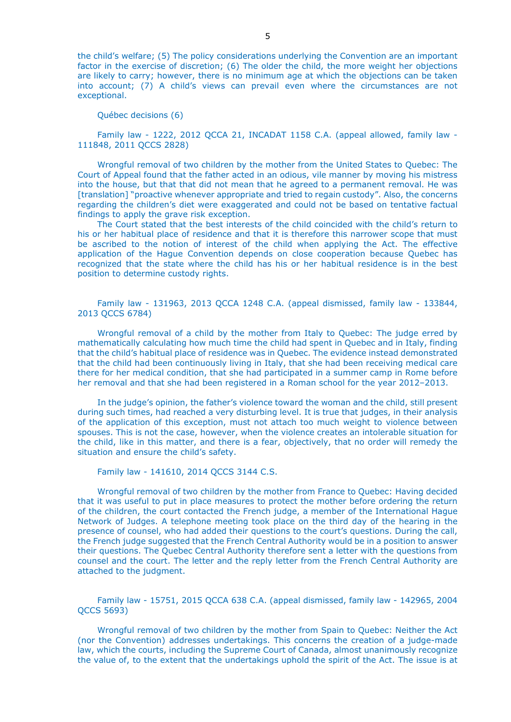the child's welfare; (5) The policy considerations underlying the Convention are an important factor in the exercise of discretion; (6) The older the child, the more weight her objections are likely to carry; however, there is no minimum age at which the objections can be taken into account; (7) A child's views can prevail even where the circumstances are not exceptional.

Québec decisions (6)

Family law - 1222, 2012 QCCA 21, INCADAT 1158 C.A. (appeal allowed, family law - 111848, 2011 QCCS 2828)

Wrongful removal of two children by the mother from the United States to Quebec: The Court of Appeal found that the father acted in an odious, vile manner by moving his mistress into the house, but that that did not mean that he agreed to a permanent removal. He was [translation] "proactive whenever appropriate and tried to regain custody". Also, the concerns regarding the children's diet were exaggerated and could not be based on tentative factual findings to apply the grave risk exception.

The Court stated that the best interests of the child coincided with the child's return to his or her habitual place of residence and that it is therefore this narrower scope that must be ascribed to the notion of interest of the child when applying the Act. The effective application of the Hague Convention depends on close cooperation because Quebec has recognized that the state where the child has his or her habitual residence is in the best position to determine custody rights.

Family law - 131963, 2013 QCCA 1248 C.A. (appeal dismissed, family law - 133844, 2013 QCCS 6784)

Wrongful removal of a child by the mother from Italy to Quebec: The judge erred by mathematically calculating how much time the child had spent in Quebec and in Italy, finding that the child's habitual place of residence was in Quebec. The evidence instead demonstrated that the child had been continuously living in Italy, that she had been receiving medical care there for her medical condition, that she had participated in a summer camp in Rome before her removal and that she had been registered in a Roman school for the year 2012–2013.

In the judge's opinion, the father's violence toward the woman and the child, still present during such times, had reached a very disturbing level. It is true that judges, in their analysis of the application of this exception, must not attach too much weight to violence between spouses. This is not the case, however, when the violence creates an intolerable situation for the child, like in this matter, and there is a fear, objectively, that no order will remedy the situation and ensure the child's safety.

Family law - 141610, 2014 QCCS 3144 C.S.

Wrongful removal of two children by the mother from France to Quebec: Having decided that it was useful to put in place measures to protect the mother before ordering the return of the children, the court contacted the French judge, a member of the International Hague Network of Judges. A telephone meeting took place on the third day of the hearing in the presence of counsel, who had added their questions to the court's questions. During the call, the French judge suggested that the French Central Authority would be in a position to answer their questions. The Quebec Central Authority therefore sent a letter with the questions from counsel and the court. The letter and the reply letter from the French Central Authority are attached to the judgment.

Family law - 15751, 2015 QCCA 638 C.A. (appeal dismissed, family law - 142965, 2004 QCCS 5693)

Wrongful removal of two children by the mother from Spain to Quebec: Neither the Act (nor the Convention) addresses undertakings. This concerns the creation of a judge-made law, which the courts, including the Supreme Court of Canada, almost unanimously recognize the value of, to the extent that the undertakings uphold the spirit of the Act. The issue is at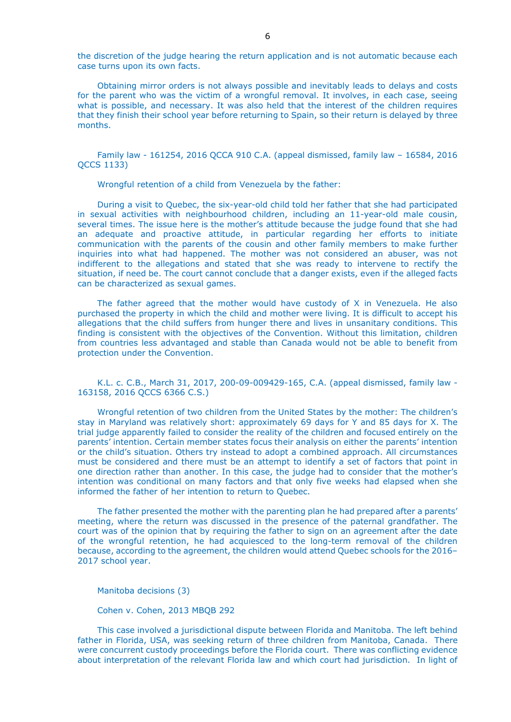the discretion of the judge hearing the return application and is not automatic because each case turns upon its own facts.

Obtaining mirror orders is not always possible and inevitably leads to delays and costs for the parent who was the victim of a wrongful removal. It involves, in each case, seeing what is possible, and necessary. It was also held that the interest of the children requires that they finish their school year before returning to Spain, so their return is delayed by three months.

Family law - 161254, 2016 QCCA 910 C.A. (appeal dismissed, family law – 16584, 2016 QCCS 1133)

Wrongful retention of a child from Venezuela by the father:

During a visit to Quebec, the six-year-old child told her father that she had participated in sexual activities with neighbourhood children, including an 11-year-old male cousin, several times. The issue here is the mother's attitude because the judge found that she had an adequate and proactive attitude, in particular regarding her efforts to initiate communication with the parents of the cousin and other family members to make further inquiries into what had happened. The mother was not considered an abuser, was not indifferent to the allegations and stated that she was ready to intervene to rectify the situation, if need be. The court cannot conclude that a danger exists, even if the alleged facts can be characterized as sexual games.

The father agreed that the mother would have custody of  $X$  in Venezuela. He also purchased the property in which the child and mother were living. It is difficult to accept his allegations that the child suffers from hunger there and lives in unsanitary conditions. This finding is consistent with the objectives of the Convention. Without this limitation, children from countries less advantaged and stable than Canada would not be able to benefit from protection under the Convention.

K.L. c. C.B., March 31, 2017, 200-09-009429-165, C.A. (appeal dismissed, family law - 163158, 2016 QCCS 6366 C.S.)

Wrongful retention of two children from the United States by the mother: The children's stay in Maryland was relatively short: approximately 69 days for Y and 85 days for X. The trial judge apparently failed to consider the reality of the children and focused entirely on the parents' intention. Certain member states focus their analysis on either the parents' intention or the child's situation. Others try instead to adopt a combined approach. All circumstances must be considered and there must be an attempt to identify a set of factors that point in one direction rather than another. In this case, the judge had to consider that the mother's intention was conditional on many factors and that only five weeks had elapsed when she informed the father of her intention to return to Quebec.

The father presented the mother with the parenting plan he had prepared after a parents' meeting, where the return was discussed in the presence of the paternal grandfather. The court was of the opinion that by requiring the father to sign on an agreement after the date of the wrongful retention, he had acquiesced to the long-term removal of the children because, according to the agreement, the children would attend Quebec schools for the 2016– 2017 school year.

Manitoba decisions (3)

Cohen v. Cohen, 2013 MBQB 292

This case involved a jurisdictional dispute between Florida and Manitoba. The left behind father in Florida, USA, was seeking return of three children from Manitoba, Canada. There were concurrent custody proceedings before the Florida court. There was conflicting evidence about interpretation of the relevant Florida law and which court had jurisdiction. In light of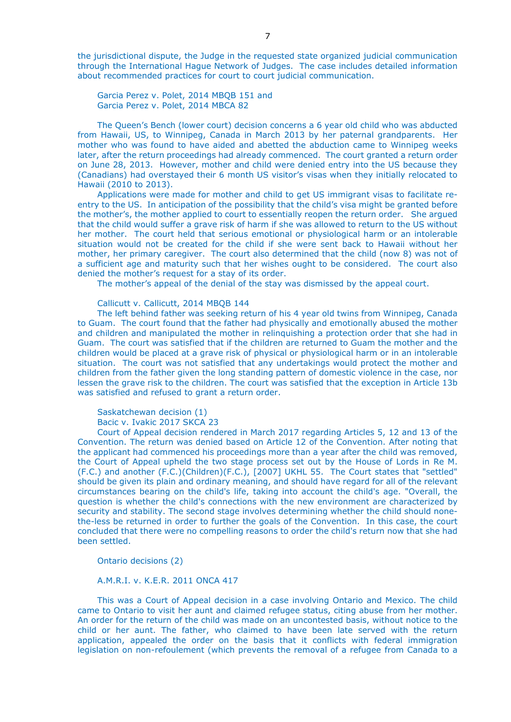the jurisdictional dispute, the Judge in the requested state organized judicial communication through the International Hague Network of Judges. The case includes detailed information about recommended practices for court to court judicial communication.

Garcia Perez v. Polet, 2014 MBQB 151 and Garcia Perez v. Polet, 2014 MBCA 82

The Queen's Bench (lower court) decision concerns a 6 year old child who was abducted from Hawaii, US, to Winnipeg, Canada in March 2013 by her paternal grandparents. Her mother who was found to have aided and abetted the abduction came to Winnipeg weeks later, after the return proceedings had already commenced. The court granted a return order on June 28, 2013. However, mother and child were denied entry into the US because they (Canadians) had overstayed their 6 month US visitor's visas when they initially relocated to Hawaii (2010 to 2013).

Applications were made for mother and child to get US immigrant visas to facilitate reentry to the US. In anticipation of the possibility that the child's visa might be granted before the mother's, the mother applied to court to essentially reopen the return order. She argued that the child would suffer a grave risk of harm if she was allowed to return to the US without her mother. The court held that serious emotional or physiological harm or an intolerable situation would not be created for the child if she were sent back to Hawaii without her mother, her primary caregiver. The court also determined that the child (now 8) was not of a sufficient age and maturity such that her wishes ought to be considered. The court also denied the mother's request for a stay of its order.

The mother's appeal of the denial of the stay was dismissed by the appeal court.

Callicutt v. Callicutt, 2014 MBQB 144

The left behind father was seeking return of his 4 year old twins from Winnipeg, Canada to Guam. The court found that the father had physically and emotionally abused the mother and children and manipulated the mother in relinquishing a protection order that she had in Guam. The court was satisfied that if the children are returned to Guam the mother and the children would be placed at a grave risk of physical or physiological harm or in an intolerable situation. The court was not satisfied that any undertakings would protect the mother and children from the father given the long standing pattern of domestic violence in the case, nor lessen the grave risk to the children. The court was satisfied that the exception in Article 13b was satisfied and refused to grant a return order.

Saskatchewan decision (1)

Bacic v. Ivakic 2017 SKCA 23

Court of Appeal decision rendered in March 2017 regarding Articles 5, 12 and 13 of the Convention. The return was denied based on Article 12 of the Convention. After noting that the applicant had commenced his proceedings more than a year after the child was removed, the Court of Appeal upheld the two stage process set out by the House of Lords in Re M. (F.C.) and another (F.C.)(Children)(F.C.), [2007] UKHL 55. The Court states that "settled" should be given its plain and ordinary meaning, and should have regard for all of the relevant circumstances bearing on the child's life, taking into account the child's age. "Overall, the question is whether the child's connections with the new environment are characterized by security and stability. The second stage involves determining whether the child should nonethe-less be returned in order to further the goals of the Convention. In this case, the court concluded that there were no compelling reasons to order the child's return now that she had been settled.

Ontario decisions (2)

A.M.R.I. v. K.E.R. 2011 ONCA 417

This was a Court of Appeal decision in a case involving Ontario and Mexico. The child came to Ontario to visit her aunt and claimed refugee status, citing abuse from her mother. An order for the return of the child was made on an uncontested basis, without notice to the child or her aunt. The father, who claimed to have been late served with the return application, appealed the order on the basis that it conflicts with federal immigration legislation on non-refoulement (which prevents the removal of a refugee from Canada to a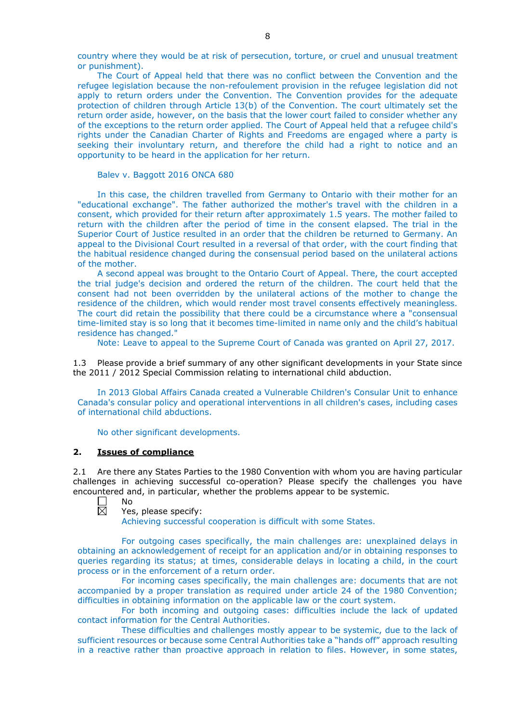country where they would be at risk of persecution, torture, or cruel and unusual treatment or punishment).

The Court of Appeal held that there was no conflict between the Convention and the refugee legislation because the non-refoulement provision in the refugee legislation did not apply to return orders under the Convention. The Convention provides for the adequate protection of children through Article 13(b) of the Convention. The court ultimately set the return order aside, however, on the basis that the lower court failed to consider whether any of the exceptions to the return order applied. The Court of Appeal held that a refugee child's rights under the Canadian Charter of Rights and Freedoms are engaged where a party is seeking their involuntary return, and therefore the child had a right to notice and an opportunity to be heard in the application for her return.

Balev v. Baggott 2016 ONCA 680

In this case, the children travelled from Germany to Ontario with their mother for an "educational exchange". The father authorized the mother's travel with the children in a consent, which provided for their return after approximately 1.5 years. The mother failed to return with the children after the period of time in the consent elapsed. The trial in the Superior Court of Justice resulted in an order that the children be returned to Germany. An appeal to the Divisional Court resulted in a reversal of that order, with the court finding that the habitual residence changed during the consensual period based on the unilateral actions of the mother.

A second appeal was brought to the Ontario Court of Appeal. There, the court accepted the trial judge's decision and ordered the return of the children. The court held that the consent had not been overridden by the unilateral actions of the mother to change the residence of the children, which would render most travel consents effectively meaningless. The court did retain the possibility that there could be a circumstance where a "consensual time-limited stay is so long that it becomes time-limited in name only and the child's habitual residence has changed."

Note: Leave to appeal to the Supreme Court of Canada was granted on April 27, 2017.

1.3 Please provide a brief summary of any other significant developments in your State since the 2011 / 2012 Special Commission relating to international child abduction.

In 2013 Global Affairs Canada created a Vulnerable Children's Consular Unit to enhance Canada's consular policy and operational interventions in all children's cases, including cases of international child abductions.

No other significant developments.

#### **2. Issues of compliance**

2.1 Are there any States Parties to the 1980 Convention with whom you are having particular challenges in achieving successful co-operation? Please specify the challenges you have encountered and, in particular, whether the problems appear to be systemic.

- $\Box$ No  $\overline{\boxtimes}$ 
	- Yes, please specify:

Achieving successful cooperation is difficult with some States.

For outgoing cases specifically, the main challenges are: unexplained delays in obtaining an acknowledgement of receipt for an application and/or in obtaining responses to queries regarding its status; at times, considerable delays in locating a child, in the court process or in the enforcement of a return order.

For incoming cases specifically, the main challenges are: documents that are not accompanied by a proper translation as required under article 24 of the 1980 Convention; difficulties in obtaining information on the applicable law or the court system.

For both incoming and outgoing cases: difficulties include the lack of updated contact information for the Central Authorities.

These difficulties and challenges mostly appear to be systemic, due to the lack of sufficient resources or because some Central Authorities take a "hands off" approach resulting in a reactive rather than proactive approach in relation to files. However, in some states,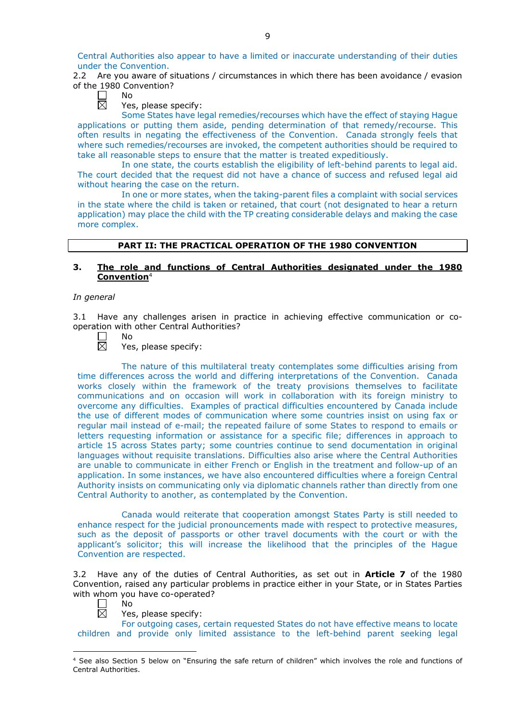Central Authorities also appear to have a limited or inaccurate understanding of their duties under the Convention.

2.2 Are you aware of situations / circumstances in which there has been avoidance / evasion of the 1980 Convention?

| N٥      |
|---------|
| J.<br>۴ |

Yes, please specify:

Some States have legal remedies/recourses which have the effect of staying Hague applications or putting them aside, pending determination of that remedy/recourse. This often results in negating the effectiveness of the Convention. Canada strongly feels that where such remedies/recourses are invoked, the competent authorities should be required to take all reasonable steps to ensure that the matter is treated expeditiously.

In one state, the courts establish the eligibility of left-behind parents to legal aid. The court decided that the request did not have a chance of success and refused legal aid without hearing the case on the return.

In one or more states, when the taking-parent files a complaint with social services in the state where the child is taken or retained, that court (not designated to hear a return application) may place the child with the TP creating considerable delays and making the case more complex.

## **PART II: THE PRACTICAL OPERATION OF THE 1980 CONVENTION**

# **3. The role and functions of Central Authorities designated under the 1980 Convention**<sup>4</sup>

### *In general*

3.1 Have any challenges arisen in practice in achieving effective communication or cooperation with other Central Authorities?

No

Yes, please specify:

The nature of this multilateral treaty contemplates some difficulties arising from time differences across the world and differing interpretations of the Convention. Canada works closely within the framework of the treaty provisions themselves to facilitate communications and on occasion will work in collaboration with its foreign ministry to overcome any difficulties. Examples of practical difficulties encountered by Canada include the use of different modes of communication where some countries insist on using fax or regular mail instead of e-mail; the repeated failure of some States to respond to emails or letters requesting information or assistance for a specific file; differences in approach to article 15 across States party; some countries continue to send documentation in original languages without requisite translations. Difficulties also arise where the Central Authorities are unable to communicate in either French or English in the treatment and follow-up of an application. In some instances, we have also encountered difficulties where a foreign Central Authority insists on communicating only via diplomatic channels rather than directly from one Central Authority to another, as contemplated by the Convention.

Canada would reiterate that cooperation amongst States Party is still needed to enhance respect for the judicial pronouncements made with respect to protective measures, such as the deposit of passports or other travel documents with the court or with the applicant's solicitor; this will increase the likelihood that the principles of the Hague Convention are respected.

3.2 Have any of the duties of Central Authorities, as set out in **Article 7** of the 1980 Convention, raised any particular problems in practice either in your State, or in States Parties with whom you have co-operated?

No 反

Yes, please specify:

For outgoing cases, certain requested States do not have effective means to locate children and provide only limited assistance to the left-behind parent seeking legal

<sup>-</sup><sup>4</sup> See also Section 5 below on "Ensuring the safe return of children" which involves the role and functions of Central Authorities.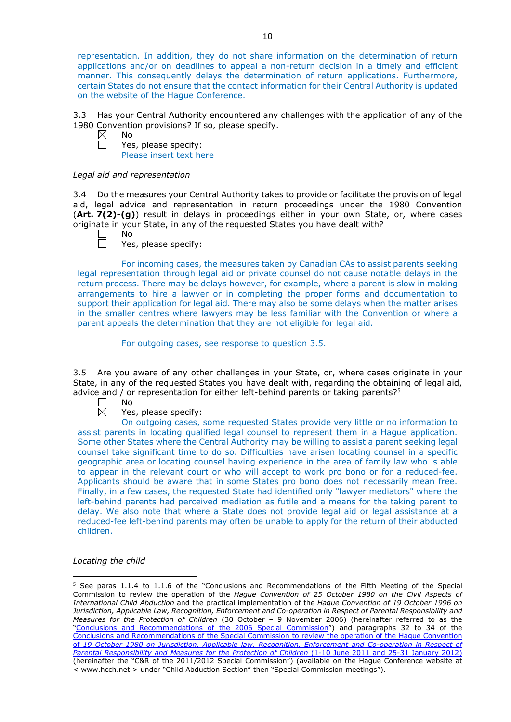representation. In addition, they do not share information on the determination of return applications and/or on deadlines to appeal a non-return decision in a timely and efficient manner. This consequently delays the determination of return applications. Furthermore, certain States do not ensure that the contact information for their Central Authority is updated on the website of the Hague Conference.

3.3 Has your Central Authority encountered any challenges with the application of any of the 1980 Convention provisions? If so, please specify.

 $\boxtimes$ No 戸

Yes, please specify: Please insert text here

### *Legal aid and representation*

3.4 Do the measures your Central Authority takes to provide or facilitate the provision of legal aid, legal advice and representation in return proceedings under the 1980 Convention (**Art. 7(2)-(g)**) result in delays in proceedings either in your own State, or, where cases originate in your State, in any of the requested States you have dealt with?

No  $\Box$ 

Yes, please specify:

For incoming cases, the measures taken by Canadian CAs to assist parents seeking legal representation through legal aid or private counsel do not cause notable delays in the return process. There may be delays however, for example, where a parent is slow in making arrangements to hire a lawyer or in completing the proper forms and documentation to support their application for legal aid. There may also be some delays when the matter arises in the smaller centres where lawyers may be less familiar with the Convention or where a parent appeals the determination that they are not eligible for legal aid.

For outgoing cases, see response to question 3.5.

3.5 Are you aware of any other challenges in your State, or, where cases originate in your State, in any of the requested States you have dealt with, regarding the obtaining of legal aid, advice and / or representation for either left-behind parents or taking parents? $5$ 

 $\boxtimes$ 

No

# Yes, please specify:

On outgoing cases, some requested States provide very little or no information to assist parents in locating qualified legal counsel to represent them in a Hague application. Some other States where the Central Authority may be willing to assist a parent seeking legal counsel take significant time to do so. Difficulties have arisen locating counsel in a specific geographic area or locating counsel having experience in the area of family law who is able to appear in the relevant court or who will accept to work pro bono or for a reduced-fee. Applicants should be aware that in some States pro bono does not necessarily mean free. Finally, in a few cases, the requested State had identified only "lawyer mediators" where the left-behind parents had perceived mediation as futile and a means for the taking parent to delay. We also note that where a State does not provide legal aid or legal assistance at a reduced-fee left-behind parents may often be unable to apply for the return of their abducted children.

# *Locating the child*

<u>.</u>

<sup>5</sup> See paras 1.1.4 to 1.1.6 of the "Conclusions and Recommendations of the Fifth Meeting of the Special Commission to review the operation of the *Hague Convention of 25 October 1980 on the Civil Aspects of International Child Abduction* and the practical implementation of the *Hague Convention of 19 October 1996 on Jurisdiction, Applicable Law, Recognition, Enforcement and Co-operation in Respect of Parental Responsibility and Measures for the Protection of Children* (30 October – 9 November 2006) (hereinafter referred to as the ["Conclusions and Recommendations of the 2006 Special Commission"](https://assets.hcch.net/upload/concl28sc5_e.pdf)) and paragraphs 32 to 34 of the [Conclusions and Recommendations of the Special Commission](https://assets.hcch.net/upload/wop/concl28sc6_e.pdf) to review the operation of the Hague Convention of *19 October 1980 on Jurisdiction, Applicable law, [Recognition, Enforcement and Co-operation in Respect of](https://assets.hcch.net/upload/wop/concl28sc6_e.pdf)  [Parental Responsibility and Measures for the Protection of Children](https://assets.hcch.net/upload/wop/concl28sc6_e.pdf)* (1-10 June 2011 and 25-31 January 2012) (hereinafter the "C&R of the 2011/2012 Special Commission") (available on the Hague Conference website at < www.hcch.net > under "Child Abduction Section" then "Special Commission meetings").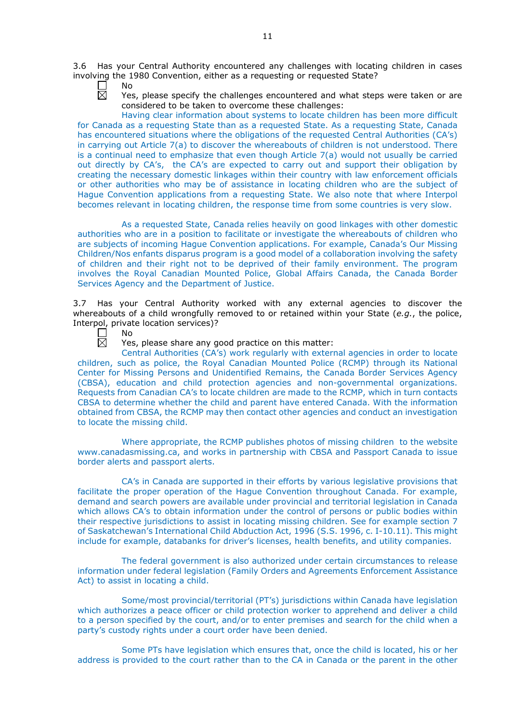3.6 Has your Central Authority encountered any challenges with locating children in cases involving the 1980 Convention, either as a requesting or requested State?

- П No 反
	- Yes, please specify the challenges encountered and what steps were taken or are considered to be taken to overcome these challenges:

Having clear information about systems to locate children has been more difficult for Canada as a requesting State than as a requested State. As a requesting State, Canada has encountered situations where the obligations of the requested Central Authorities (CA's) in carrying out Article 7(a) to discover the whereabouts of children is not understood. There is a continual need to emphasize that even though Article 7(a) would not usually be carried out directly by CA's, the CA's are expected to carry out and support their obligation by creating the necessary domestic linkages within their country with law enforcement officials or other authorities who may be of assistance in locating children who are the subject of Hague Convention applications from a requesting State. We also note that where Interpol becomes relevant in locating children, the response time from some countries is very slow.

As a requested State, Canada relies heavily on good linkages with other domestic authorities who are in a position to facilitate or investigate the whereabouts of children who are subjects of incoming Hague Convention applications. For example, Canada's Our Missing Children/Nos enfants disparus program is a good model of a collaboration involving the safety of children and their right not to be deprived of their family environment. The program involves the Royal Canadian Mounted Police, Global Affairs Canada, the Canada Border Services Agency and the Department of Justice.

3.7 Has your Central Authority worked with any external agencies to discover the whereabouts of a child wrongfully removed to or retained within your State (*e.g.*, the police, Interpol, private location services)?<br>  $\Box$  No<br>  $\boxtimes$  Yes, please share any qo

No

Yes, please share any good practice on this matter:

Central Authorities (CA's) work regularly with external agencies in order to locate children, such as police, the Royal Canadian Mounted Police (RCMP) through its National Center for Missing Persons and Unidentified Remains, the Canada Border Services Agency (CBSA), education and child protection agencies and non-governmental organizations. Requests from Canadian CA's to locate children are made to the RCMP, which in turn contacts CBSA to determine whether the child and parent have entered Canada. With the information obtained from CBSA, the RCMP may then contact other agencies and conduct an investigation to locate the missing child.

Where appropriate, the RCMP publishes photos of missing children to the website www.canadasmissing.ca, and works in partnership with CBSA and Passport Canada to issue border alerts and passport alerts.

CA's in Canada are supported in their efforts by various legislative provisions that facilitate the proper operation of the Hague Convention throughout Canada. For example, demand and search powers are available under provincial and territorial legislation in Canada which allows CA's to obtain information under the control of persons or public bodies within their respective jurisdictions to assist in locating missing children. See for example section 7 of Saskatchewan's International Child Abduction Act, 1996 (S.S. 1996, c. I-10.11). This might include for example, databanks for driver's licenses, health benefits, and utility companies.

The federal government is also authorized under certain circumstances to release information under federal legislation (Family Orders and Agreements Enforcement Assistance Act) to assist in locating a child.

Some/most provincial/territorial (PT's) jurisdictions within Canada have legislation which authorizes a peace officer or child protection worker to apprehend and deliver a child to a person specified by the court, and/or to enter premises and search for the child when a party's custody rights under a court order have been denied.

Some PTs have legislation which ensures that, once the child is located, his or her address is provided to the court rather than to the CA in Canada or the parent in the other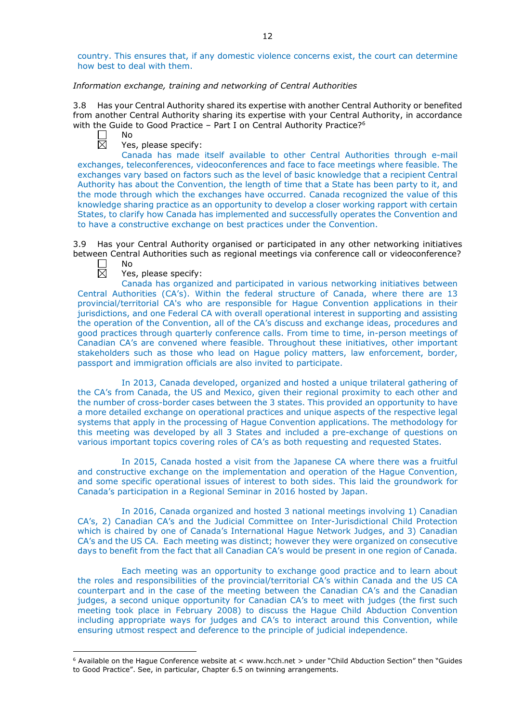country. This ensures that, if any domestic violence concerns exist, the court can determine how best to deal with them.

## *Information exchange, training and networking of Central Authorities*

3.8 Has your Central Authority shared its expertise with another Central Authority or benefited from another Central Authority sharing its expertise with your Central Authority, in accordance with the Guide to Good Practice - Part I on Central Authority Practice?<sup>6</sup>

岗

No

Yes, please specify:

Canada has made itself available to other Central Authorities through e-mail exchanges, teleconferences, videoconferences and face to face meetings where feasible. The exchanges vary based on factors such as the level of basic knowledge that a recipient Central Authority has about the Convention, the length of time that a State has been party to it, and the mode through which the exchanges have occurred. Canada recognized the value of this knowledge sharing practice as an opportunity to develop a closer working rapport with certain States, to clarify how Canada has implemented and successfully operates the Convention and to have a constructive exchange on best practices under the Convention.

3.9 Has your Central Authority organised or participated in any other networking initiatives between Central Authorities such as regional meetings via conference call or videoconference? No

反

-

Yes, please specify:

Canada has organized and participated in various networking initiatives between Central Authorities (CA's). Within the federal structure of Canada, where there are 13 provincial/territorial CA's who are responsible for Hague Convention applications in their jurisdictions, and one Federal CA with overall operational interest in supporting and assisting the operation of the Convention, all of the CA's discuss and exchange ideas, procedures and good practices through quarterly conference calls. From time to time, in-person meetings of Canadian CA's are convened where feasible. Throughout these initiatives, other important stakeholders such as those who lead on Hague policy matters, law enforcement, border, passport and immigration officials are also invited to participate.

In 2013, Canada developed, organized and hosted a unique trilateral gathering of the CA's from Canada, the US and Mexico, given their regional proximity to each other and the number of cross-border cases between the 3 states. This provided an opportunity to have a more detailed exchange on operational practices and unique aspects of the respective legal systems that apply in the processing of Hague Convention applications. The methodology for this meeting was developed by all 3 States and included a pre-exchange of questions on various important topics covering roles of CA's as both requesting and requested States.

In 2015, Canada hosted a visit from the Japanese CA where there was a fruitful and constructive exchange on the implementation and operation of the Hague Convention, and some specific operational issues of interest to both sides. This laid the groundwork for Canada's participation in a Regional Seminar in 2016 hosted by Japan.

In 2016, Canada organized and hosted 3 national meetings involving 1) Canadian CA's, 2) Canadian CA's and the Judicial Committee on Inter-Jurisdictional Child Protection which is chaired by one of Canada's International Hague Network Judges, and 3) Canadian CA's and the US CA. Each meeting was distinct; however they were organized on consecutive days to benefit from the fact that all Canadian CA's would be present in one region of Canada.

Each meeting was an opportunity to exchange good practice and to learn about the roles and responsibilities of the provincial/territorial CA's within Canada and the US CA counterpart and in the case of the meeting between the Canadian CA's and the Canadian judges, a second unique opportunity for Canadian CA's to meet with judges (the first such meeting took place in February 2008) to discuss the Hague Child Abduction Convention including appropriate ways for judges and CA's to interact around this Convention, while ensuring utmost respect and deference to the principle of judicial independence.

 $6$  Available on the Hague Conference website at < www.hcch.net > under "Child Abduction Section" then "Guides to Good Practice". See, in particular, Chapter 6.5 on twinning arrangements.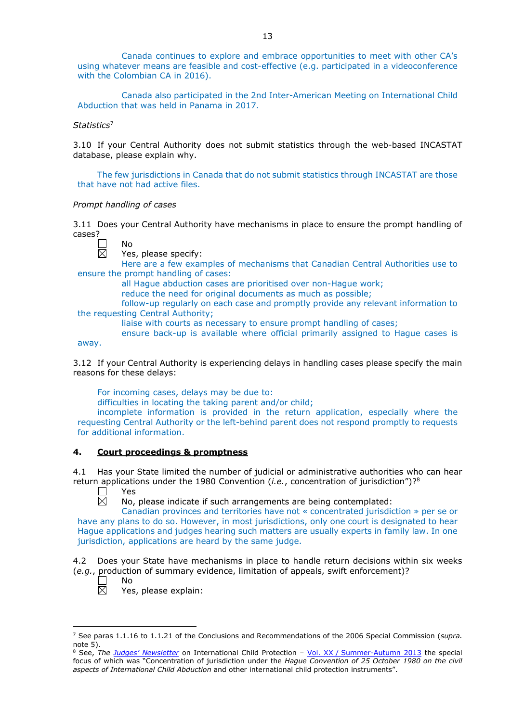Canada continues to explore and embrace opportunities to meet with other CA's using whatever means are feasible and cost-effective (e.g. participated in a videoconference with the Colombian CA in 2016).

Canada also participated in the 2nd Inter-American Meeting on International Child Abduction that was held in Panama in 2017.

*Statistics*<sup>7</sup>

3.10 If your Central Authority does not submit statistics through the web-based INCASTAT database, please explain why.

The few jurisdictions in Canada that do not submit statistics through INCASTAT are those that have not had active files.

#### *Prompt handling of cases*

No

3.11 Does your Central Authority have mechanisms in place to ensure the prompt handling of cases?

away.

Yes, please specify:

Here are a few examples of mechanisms that Canadian Central Authorities use to ensure the prompt handling of cases:

all Hague abduction cases are prioritised over non-Hague work;

reduce the need for original documents as much as possible;

follow-up regularly on each case and promptly provide any relevant information to the requesting Central Authority;

liaise with courts as necessary to ensure prompt handling of cases;

ensure back-up is available where official primarily assigned to Hague cases is

3.12 If your Central Authority is experiencing delays in handling cases please specify the main reasons for these delays:

For incoming cases, delays may be due to:

difficulties in locating the taking parent and/or child;

incomplete information is provided in the return application, especially where the requesting Central Authority or the left-behind parent does not respond promptly to requests for additional information.

### **4. Court proceedings & promptness**

4.1 Has your State limited the number of judicial or administrative authorities who can hear return applications under the 1980 Convention (*i.e.*, concentration of jurisdiction")?8 Yes

 $\Box$  $\overline{\boxtimes}$ 

No, please indicate if such arrangements are being contemplated:

Canadian provinces and territories have not « concentrated jurisdiction » per se or have any plans to do so. However, in most jurisdictions, only one court is designated to hear Hague applications and judges hearing such matters are usually experts in family law. In one jurisdiction, applications are heard by the same judge.

4.2 Does your State have mechanisms in place to handle return decisions within six weeks (*e.g.*, production of summary evidence, limitation of appeals, swift enforcement)? No



-

Yes, please explain:

<sup>7</sup> See paras 1.1.16 to 1.1.21 of the Conclusions and Recommendations of the 2006 Special Commission (*supra.*  note 5).

<sup>8</sup> See, *The [Judges' Newsletter](https://www.hcch.net/en/instruments/conventions/publications2/judges-newsletter)* on International Child Protection – Vol. XX / [Summer-Autumn 2013](https://assets.hcch.net/upload/newsletter/nl2013tome20en.pdf) the special focus of which was "Concentration of jurisdiction under the *Hague Convention of 25 October 1980 on the civil aspects of International Child Abduction* and other international child protection instruments".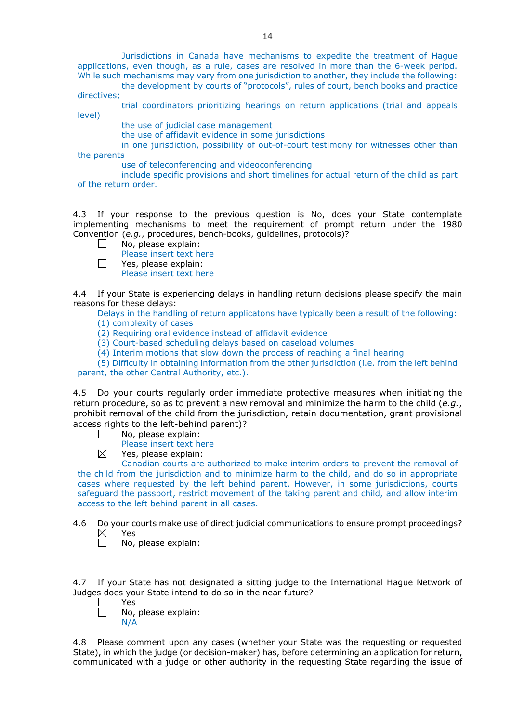Jurisdictions in Canada have mechanisms to expedite the treatment of Hague applications, even though, as a rule, cases are resolved in more than the 6-week period. While such mechanisms may vary from one jurisdiction to another, they include the following:

the development by courts of "protocols", rules of court, bench books and practice directives;

trial coordinators prioritizing hearings on return applications (trial and appeals level)

the use of judicial case management

the use of affidavit evidence in some jurisdictions

in one jurisdiction, possibility of out-of-court testimony for witnesses other than

the parents

use of teleconferencing and videoconferencing

include specific provisions and short timelines for actual return of the child as part of the return order.

4.3 If your response to the previous question is No, does your State contemplate implementing mechanisms to meet the requirement of prompt return under the 1980 Convention (*e.g.*, procedures, bench-books, guidelines, protocols)?

No, please explain: П

Please insert text here

 $\Box$ Yes, please explain: Please insert text here

4.4 If your State is experiencing delays in handling return decisions please specify the main reasons for these delays:

Delays in the handling of return applicatons have typically been a result of the following:

(1) complexity of cases

(2) Requiring oral evidence instead of affidavit evidence

(3) Court-based scheduling delays based on caseload volumes

(4) Interim motions that slow down the process of reaching a final hearing

(5) Difficulty in obtaining information from the other jurisdiction (i.e. from the left behind

parent, the other Central Authority, etc.).

4.5 Do your courts regularly order immediate protective measures when initiating the return procedure, so as to prevent a new removal and minimize the harm to the child (*e.g.*, prohibit removal of the child from the jurisdiction, retain documentation, grant provisional access rights to the left-behind parent)?

- П No, please explain:
	- Please insert text here
- $\boxtimes$ Yes, please explain:

Canadian courts are authorized to make interim orders to prevent the removal of the child from the jurisdiction and to minimize harm to the child, and do so in appropriate cases where requested by the left behind parent. However, in some jurisdictions, courts safeguard the passport, restrict movement of the taking parent and child, and allow interim access to the left behind parent in all cases.

4.6 Do your courts make use of direct judicial communications to ensure prompt proceedings?<br>  $\boxtimes$  Yes<br>  $\Box$  No, please explain:

Yes

No, please explain:

4.7 If your State has not designated a sitting judge to the International Hague Network of Judges does your State intend to do so in the near future?

- Yes
	- No, please explain: N/A

4.8 Please comment upon any cases (whether your State was the requesting or requested State), in which the judge (or decision-maker) has, before determining an application for return, communicated with a judge or other authority in the requesting State regarding the issue of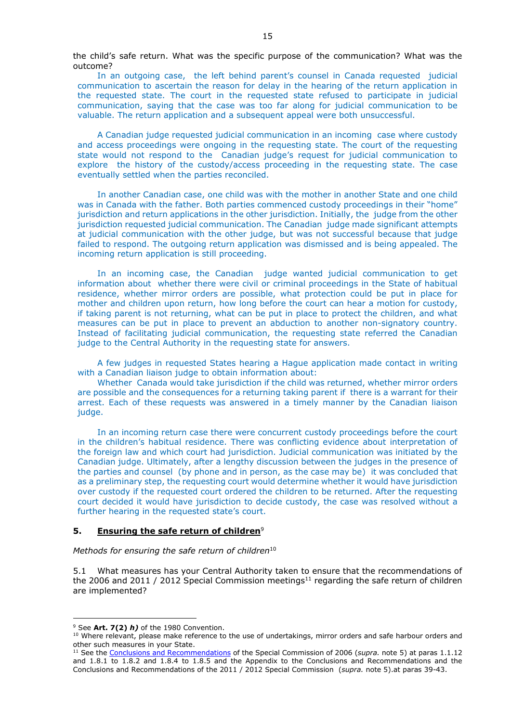the child's safe return. What was the specific purpose of the communication? What was the outcome?

In an outgoing case, the left behind parent's counsel in Canada requested judicial communication to ascertain the reason for delay in the hearing of the return application in the requested state. The court in the requested state refused to participate in judicial communication, saying that the case was too far along for judicial communication to be valuable. The return application and a subsequent appeal were both unsuccessful.

A Canadian judge requested judicial communication in an incoming case where custody and access proceedings were ongoing in the requesting state. The court of the requesting state would not respond to the Canadian judge's request for judicial communication to explore the history of the custody/access proceeding in the requesting state. The case eventually settled when the parties reconciled.

In another Canadian case, one child was with the mother in another State and one child was in Canada with the father. Both parties commenced custody proceedings in their "home" jurisdiction and return applications in the other jurisdiction. Initially, the judge from the other jurisdiction requested judicial communication. The Canadian judge made significant attempts at judicial communication with the other judge, but was not successful because that judge failed to respond. The outgoing return application was dismissed and is being appealed. The incoming return application is still proceeding.

In an incoming case, the Canadian judge wanted judicial communication to get information about whether there were civil or criminal proceedings in the State of habitual residence, whether mirror orders are possible, what protection could be put in place for mother and children upon return, how long before the court can hear a motion for custody, if taking parent is not returning, what can be put in place to protect the children, and what measures can be put in place to prevent an abduction to another non-signatory country. Instead of facilitating judicial communication, the requesting state referred the Canadian judge to the Central Authority in the requesting state for answers.

A few judges in requested States hearing a Hague application made contact in writing with a Canadian liaison judge to obtain information about:

Whether Canada would take jurisdiction if the child was returned, whether mirror orders are possible and the consequences for a returning taking parent if there is a warrant for their arrest. Each of these requests was answered in a timely manner by the Canadian liaison judge.

In an incoming return case there were concurrent custody proceedings before the court in the children's habitual residence. There was conflicting evidence about interpretation of the foreign law and which court had jurisdiction. Judicial communication was initiated by the Canadian judge. Ultimately, after a lengthy discussion between the judges in the presence of the parties and counsel (by phone and in person, as the case may be) it was concluded that as a preliminary step, the requesting court would determine whether it would have jurisdiction over custody if the requested court ordered the children to be returned. After the requesting court decided it would have jurisdiction to decide custody, the case was resolved without a further hearing in the requested state's court.

#### **5. Ensuring the safe return of children**<sup>9</sup>

*Methods for ensuring the safe return of children*<sup>10</sup>

5.1 What measures has your Central Authority taken to ensure that the recommendations of the 2006 and 2011 / 2012 Special Commission meetings<sup>11</sup> regarding the safe return of children are implemented?

-

<sup>9</sup> See **Art. 7(2)** *h)* of the 1980 Convention.

<sup>&</sup>lt;sup>10</sup> Where relevant, please make reference to the use of undertakings, mirror orders and safe harbour orders and other such measures in your State.

<sup>11</sup> See the [Conclusions and Recommendations](https://assets.hcch.net/upload/concl28sc5_e.pdf) of the Special Commission of 2006 (*supra.* note 5) at paras 1.1.12 and 1.8.1 to 1.8.2 and 1.8.4 to 1.8.5 and the Appendix to the Conclusions and Recommendations and the [Conclusions and Recommendations of the 2011](https://assets.hcch.net/upload/wop/concl28sc6_e.pdf) / 2012 Special Commission (*supra.* note 5).at paras 39-43.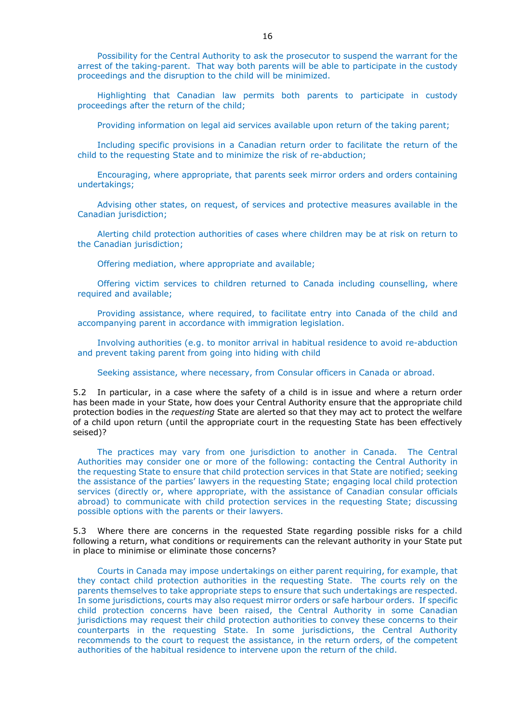Possibility for the Central Authority to ask the prosecutor to suspend the warrant for the arrest of the taking-parent. That way both parents will be able to participate in the custody proceedings and the disruption to the child will be minimized.

Highlighting that Canadian law permits both parents to participate in custody proceedings after the return of the child;

Providing information on legal aid services available upon return of the taking parent;

Including specific provisions in a Canadian return order to facilitate the return of the child to the requesting State and to minimize the risk of re-abduction;

Encouraging, where appropriate, that parents seek mirror orders and orders containing undertakings;

Advising other states, on request, of services and protective measures available in the Canadian jurisdiction;

Alerting child protection authorities of cases where children may be at risk on return to the Canadian jurisdiction;

Offering mediation, where appropriate and available;

Offering victim services to children returned to Canada including counselling, where required and available;

Providing assistance, where required, to facilitate entry into Canada of the child and accompanying parent in accordance with immigration legislation.

Involving authorities (e.g. to monitor arrival in habitual residence to avoid re-abduction and prevent taking parent from going into hiding with child

Seeking assistance, where necessary, from Consular officers in Canada or abroad.

5.2 In particular, in a case where the safety of a child is in issue and where a return order has been made in your State, how does your Central Authority ensure that the appropriate child protection bodies in the *requesting* State are alerted so that they may act to protect the welfare of a child upon return (until the appropriate court in the requesting State has been effectively seised)?

The practices may vary from one jurisdiction to another in Canada. The Central Authorities may consider one or more of the following: contacting the Central Authority in the requesting State to ensure that child protection services in that State are notified; seeking the assistance of the parties' lawyers in the requesting State; engaging local child protection services (directly or, where appropriate, with the assistance of Canadian consular officials abroad) to communicate with child protection services in the requesting State; discussing possible options with the parents or their lawyers.

5.3 Where there are concerns in the requested State regarding possible risks for a child following a return, what conditions or requirements can the relevant authority in your State put in place to minimise or eliminate those concerns?

Courts in Canada may impose undertakings on either parent requiring, for example, that they contact child protection authorities in the requesting State. The courts rely on the parents themselves to take appropriate steps to ensure that such undertakings are respected. In some jurisdictions, courts may also request mirror orders or safe harbour orders. If specific child protection concerns have been raised, the Central Authority in some Canadian jurisdictions may request their child protection authorities to convey these concerns to their counterparts in the requesting State. In some jurisdictions, the Central Authority recommends to the court to request the assistance, in the return orders, of the competent authorities of the habitual residence to intervene upon the return of the child.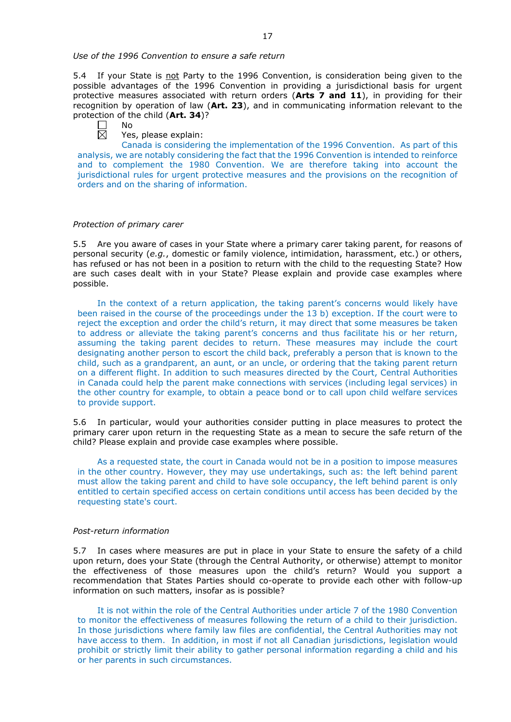#### *Use of the 1996 Convention to ensure a safe return*

5.4 If your State is not Party to the 1996 Convention, is consideration being given to the possible advantages of the 1996 Convention in providing a jurisdictional basis for urgent protective measures associated with return orders (**Arts 7 and 11**), in providing for their recognition by operation of law (**Art. 23**), and in communicating information relevant to the protection of the child (**Art. 34**)?

| N٥ |
|----|
|    |

Yes, please explain:

Canada is considering the implementation of the 1996 Convention. As part of this analysis, we are notably considering the fact that the 1996 Convention is intended to reinforce and to complement the 1980 Convention. We are therefore taking into account the jurisdictional rules for urgent protective measures and the provisions on the recognition of orders and on the sharing of information.

#### *Protection of primary carer*

5.5 Are you aware of cases in your State where a primary carer taking parent, for reasons of personal security (*e.g.*, domestic or family violence, intimidation, harassment, etc.) or others, has refused or has not been in a position to return with the child to the requesting State? How are such cases dealt with in your State? Please explain and provide case examples where possible.

In the context of a return application, the taking parent's concerns would likely have been raised in the course of the proceedings under the 13 b) exception. If the court were to reject the exception and order the child's return, it may direct that some measures be taken to address or alleviate the taking parent's concerns and thus facilitate his or her return, assuming the taking parent decides to return. These measures may include the court designating another person to escort the child back, preferably a person that is known to the child, such as a grandparent, an aunt, or an uncle, or ordering that the taking parent return on a different flight. In addition to such measures directed by the Court, Central Authorities in Canada could help the parent make connections with services (including legal services) in the other country for example, to obtain a peace bond or to call upon child welfare services to provide support.

5.6 In particular, would your authorities consider putting in place measures to protect the primary carer upon return in the requesting State as a mean to secure the safe return of the child? Please explain and provide case examples where possible.

As a requested state, the court in Canada would not be in a position to impose measures in the other country. However, they may use undertakings, such as: the left behind parent must allow the taking parent and child to have sole occupancy, the left behind parent is only entitled to certain specified access on certain conditions until access has been decided by the requesting state's court.

#### *Post-return information*

5.7 In cases where measures are put in place in your State to ensure the safety of a child upon return, does your State (through the Central Authority, or otherwise) attempt to monitor the effectiveness of those measures upon the child's return? Would you support a recommendation that States Parties should co-operate to provide each other with follow-up information on such matters, insofar as is possible?

It is not within the role of the Central Authorities under article 7 of the 1980 Convention to monitor the effectiveness of measures following the return of a child to their jurisdiction. In those jurisdictions where family law files are confidential, the Central Authorities may not have access to them. In addition, in most if not all Canadian jurisdictions, legislation would prohibit or strictly limit their ability to gather personal information regarding a child and his or her parents in such circumstances.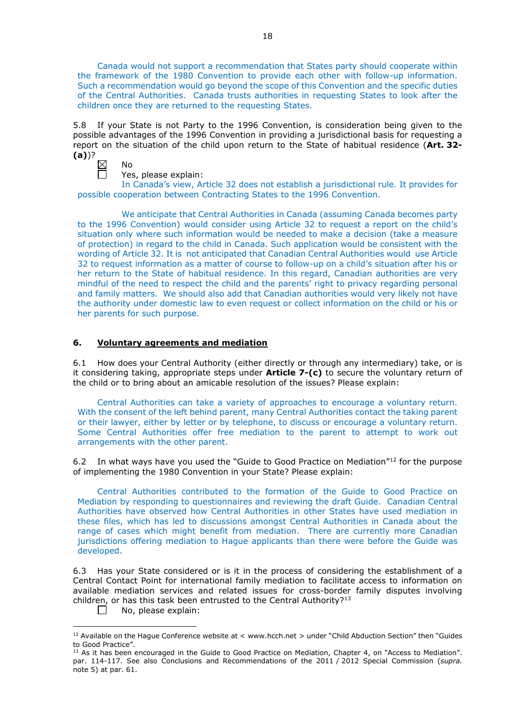Canada would not support a recommendation that States party should cooperate within the framework of the 1980 Convention to provide each other with follow-up information. Such a recommendation would go beyond the scope of this Convention and the specific duties of the Central Authorities. Canada trusts authorities in requesting States to look after the children once they are returned to the requesting States.

5.8 If your State is not Party to the 1996 Convention, is consideration being given to the possible advantages of the 1996 Convention in providing a jurisdictional basis for requesting a report on the situation of the child upon return to the State of habitual residence (**Art. 32- (a)**)?



No

Yes, please explain:

In Canada's view, Article 32 does not establish a jurisdictional rule. It provides for possible cooperation between Contracting States to the 1996 Convention.

We anticipate that Central Authorities in Canada (assuming Canada becomes party to the 1996 Convention) would consider using Article 32 to request a report on the child's situation only where such information would be needed to make a decision (take a measure of protection) in regard to the child in Canada. Such application would be consistent with the wording of Article 32. It is not anticipated that Canadian Central Authorities would use Article 32 to request information as a matter of course to follow-up on a child's situation after his or her return to the State of habitual residence. In this regard, Canadian authorities are very mindful of the need to respect the child and the parents' right to privacy regarding personal and family matters. We should also add that Canadian authorities would very likely not have the authority under domestic law to even request or collect information on the child or his or her parents for such purpose.

# **6. Voluntary agreements and mediation**

6.1 How does your Central Authority (either directly or through any intermediary) take, or is it considering taking, appropriate steps under **Article 7-(c)** to secure the voluntary return of the child or to bring about an amicable resolution of the issues? Please explain:

Central Authorities can take a variety of approaches to encourage a voluntary return. With the consent of the left behind parent, many Central Authorities contact the taking parent or their lawyer, either by letter or by telephone, to discuss or encourage a voluntary return. Some Central Authorities offer free mediation to the parent to attempt to work out arrangements with the other parent.

6.2 In what ways have you used the "Guide to Good Practice on Mediation" $12$  for the purpose of implementing the 1980 Convention in your State? Please explain:

Central Authorities contributed to the formation of the Guide to Good Practice on Mediation by responding to questionnaires and reviewing the draft Guide. Canadian Central Authorities have observed how Central Authorities in other States have used mediation in these files, which has led to discussions amongst Central Authorities in Canada about the range of cases which might benefit from mediation. There are currently more Canadian jurisdictions offering mediation to Hague applicants than there were before the Guide was developed.

6.3 Has your State considered or is it in the process of considering the establishment of a Central Contact Point for international family mediation to facilitate access to information on available mediation services and related issues for cross-border family disputes involving children, or has this task been entrusted to the Central Authority?<sup>13</sup>

No, please explain:  $\Box$ 

-

<sup>12</sup> Available on the Hague Conference website at < www.hcch.net > under "Child Abduction Section" then "Guides to Good Practice".

 $13$  As it has been encouraged in the Guide to Good Practice on Mediation, Chapter 4, on "Access to Mediation". par. 114-117. See also [Conclusions and Recommendations of the 2011](https://assets.hcch.net/upload/wop/concl28sc6_e.pdf) / 2012 Special Commission (*supra.* note 5) at par. 61.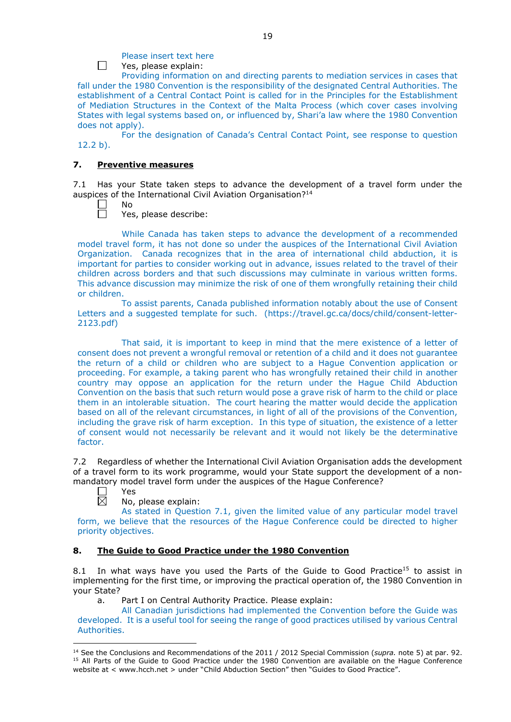# Please insert text here

Yes, please explain:

Providing information on and directing parents to mediation services in cases that fall under the 1980 Convention is the responsibility of the designated Central Authorities. The establishment of a Central Contact Point is called for in the Principles for the Establishment of Mediation Structures in the Context of the Malta Process (which cover cases involving States with legal systems based on, or influenced by, Shari'a law where the 1980 Convention does not apply).

For the designation of Canada's Central Contact Point, see response to question 12.2 b).

## **7. Preventive measures**

7.1 Has your State taken steps to advance the development of a travel form under the auspices of the International Civil Aviation Organisation?14

No

 $\Box$ 

Yes, please describe:

While Canada has taken steps to advance the development of a recommended model travel form, it has not done so under the auspices of the International Civil Aviation Organization. Canada recognizes that in the area of international child abduction, it is important for parties to consider working out in advance, issues related to the travel of their children across borders and that such discussions may culminate in various written forms. This advance discussion may minimize the risk of one of them wrongfully retaining their child or children.

To assist parents, Canada published information notably about the use of Consent Letters and a suggested template for such. (https://travel.gc.ca/docs/child/consent-letter-2123.pdf)

That said, it is important to keep in mind that the mere existence of a letter of consent does not prevent a wrongful removal or retention of a child and it does not guarantee the return of a child or children who are subject to a Hague Convention application or proceeding. For example, a taking parent who has wrongfully retained their child in another country may oppose an application for the return under the Hague Child Abduction Convention on the basis that such return would pose a grave risk of harm to the child or place them in an intolerable situation. The court hearing the matter would decide the application based on all of the relevant circumstances, in light of all of the provisions of the Convention, including the grave risk of harm exception. In this type of situation, the existence of a letter of consent would not necessarily be relevant and it would not likely be the determinative factor.

7.2 Regardless of whether the International Civil Aviation Organisation adds the development of a travel form to its work programme, would your State support the development of a nonmandatory model travel form under the auspices of the Hague Conference?

Yes

 $\overline{\boxtimes}$ 

-

No, please explain:

As stated in Question 7.1, given the limited value of any particular model travel form, we believe that the resources of the Hague Conference could be directed to higher priority objectives.

### **8. The Guide to Good Practice under the 1980 Convention**

8.1 In what ways have you used the Parts of the Guide to Good Practice<sup>15</sup> to assist in implementing for the first time, or improving the practical operation of, the 1980 Convention in your State?

a. Part I on Central Authority Practice. Please explain:

All Canadian jurisdictions had implemented the Convention before the Guide was developed. It is a useful tool for seeing the range of good practices utilised by various Central Authorities.

<sup>14</sup> See the [Conclusions and Recommendations of the 2011](https://assets.hcch.net/upload/wop/concl28sc6_e.pdf) / 2012 Special Commission (*supra.* note 5) at par. 92. <sup>15</sup> All Parts of the Guide to Good Practice under the 1980 Convention are available on the Hague Conference website at < www.hcch.net > under "Child Abduction Section" then "Guides to Good Practice".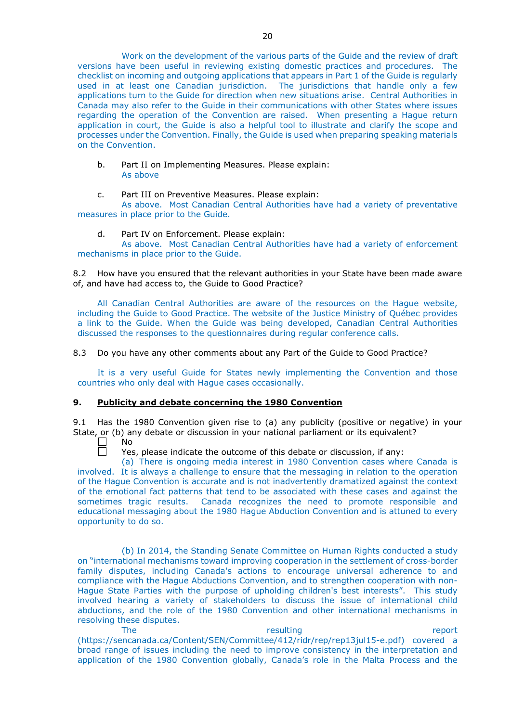Work on the development of the various parts of the Guide and the review of draft versions have been useful in reviewing existing domestic practices and procedures. The checklist on incoming and outgoing applications that appears in Part 1 of the Guide is regularly used in at least one Canadian jurisdiction. The jurisdictions that handle only a few applications turn to the Guide for direction when new situations arise. Central Authorities in Canada may also refer to the Guide in their communications with other States where issues regarding the operation of the Convention are raised. When presenting a Hague return application in court, the Guide is also a helpful tool to illustrate and clarify the scope and processes under the Convention. Finally, the Guide is used when preparing speaking materials on the Convention.

b. Part II on Implementing Measures. Please explain: As above

c. Part III on Preventive Measures. Please explain:

As above. Most Canadian Central Authorities have had a variety of preventative measures in place prior to the Guide.

d. Part IV on Enforcement. Please explain:

As above. Most Canadian Central Authorities have had a variety of enforcement mechanisms in place prior to the Guide.

8.2 How have you ensured that the relevant authorities in your State have been made aware of, and have had access to, the Guide to Good Practice?

All Canadian Central Authorities are aware of the resources on the Hague website, including the Guide to Good Practice. The website of the Justice Ministry of Québec provides a link to the Guide. When the Guide was being developed, Canadian Central Authorities discussed the responses to the questionnaires during regular conference calls.

8.3 Do you have any other comments about any Part of the Guide to Good Practice?

It is a very useful Guide for States newly implementing the Convention and those countries who only deal with Hague cases occasionally.

### **9. Publicity and debate concerning the 1980 Convention**

9.1 Has the 1980 Convention given rise to (a) any publicity (positive or negative) in your State, or (b) any debate or discussion in your national parliament or its equivalent?

No  $\Box$ 

Yes, please indicate the outcome of this debate or discussion, if any:

(a) There is ongoing media interest in 1980 Convention cases where Canada is involved. It is always a challenge to ensure that the messaging in relation to the operation of the Hague Convention is accurate and is not inadvertently dramatized against the context of the emotional fact patterns that tend to be associated with these cases and against the sometimes tragic results. Canada recognizes the need to promote responsible and educational messaging about the 1980 Hague Abduction Convention and is attuned to every opportunity to do so.

(b) In 2014, the Standing Senate Committee on Human Rights conducted a study on "international mechanisms toward improving cooperation in the settlement of cross-border family disputes, including Canada's actions to encourage universal adherence to and compliance with the Hague Abductions Convention, and to strengthen cooperation with non-Hague State Parties with the purpose of upholding children's best interests". This study involved hearing a variety of stakeholders to discuss the issue of international child abductions, and the role of the 1980 Convention and other international mechanisms in resolving these disputes.

The resulting resulting the report of  $r$ (https://sencanada.ca/Content/SEN/Committee/412/ridr/rep/rep13jul15-e.pdf) covered a broad range of issues including the need to improve consistency in the interpretation and application of the 1980 Convention globally, Canada's role in the Malta Process and the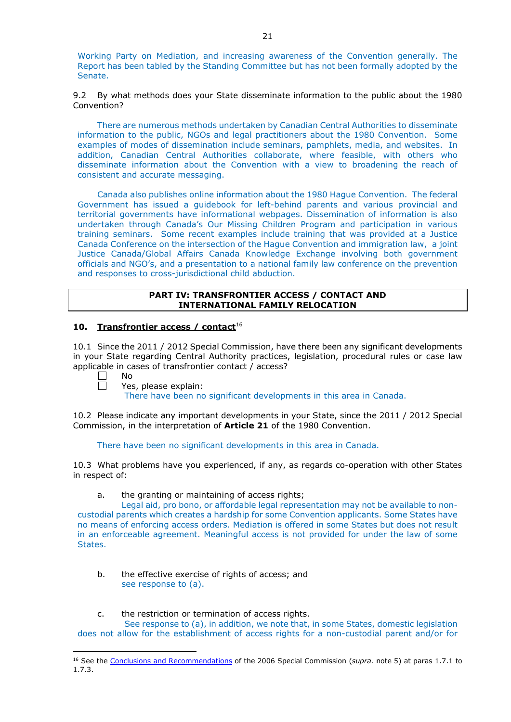Working Party on Mediation, and increasing awareness of the Convention generally. The Report has been tabled by the Standing Committee but has not been formally adopted by the Senate.

9.2 By what methods does your State disseminate information to the public about the 1980 Convention?

There are numerous methods undertaken by Canadian Central Authorities to disseminate information to the public, NGOs and legal practitioners about the 1980 Convention. Some examples of modes of dissemination include seminars, pamphlets, media, and websites. In addition, Canadian Central Authorities collaborate, where feasible, with others who disseminate information about the Convention with a view to broadening the reach of consistent and accurate messaging.

Canada also publishes online information about the 1980 Hague Convention. The federal Government has issued a guidebook for left-behind parents and various provincial and territorial governments have informational webpages. Dissemination of information is also undertaken through Canada's Our Missing Children Program and participation in various training seminars. Some recent examples include training that was provided at a Justice Canada Conference on the intersection of the Hague Convention and immigration law, a joint Justice Canada/Global Affairs Canada Knowledge Exchange involving both government officials and NGO's, and a presentation to a national family law conference on the prevention and responses to cross-jurisdictional child abduction.

### **PART IV: TRANSFRONTIER ACCESS / CONTACT AND INTERNATIONAL FAMILY RELOCATION**

## **10. Transfrontier access / contact**<sup>16</sup>

10.1 Since the 2011 / 2012 Special Commission, have there been any significant developments in your State regarding Central Authority practices, legislation, procedural rules or case law applicable in cases of transfrontier contact / access?

 $\Box$ No  $\Box$ 

-

Yes, please explain:

There have been no significant developments in this area in Canada.

10.2 Please indicate any important developments in your State, since the 2011 / 2012 Special Commission, in the interpretation of **Article 21** of the 1980 Convention.

There have been no significant developments in this area in Canada.

10.3 What problems have you experienced, if any, as regards co-operation with other States in respect of:

a. the granting or maintaining of access rights;

Legal aid, pro bono, or affordable legal representation may not be available to noncustodial parents which creates a hardship for some Convention applicants. Some States have no means of enforcing access orders. Mediation is offered in some States but does not result in an enforceable agreement. Meaningful access is not provided for under the law of some States.

b. the effective exercise of rights of access; and see response to (a).

## c. the restriction or termination of access rights.

See response to (a), in addition, we note that, in some States, domestic legislation does not allow for the establishment of access rights for a non-custodial parent and/or for

<sup>&</sup>lt;sup>16</sup> See the [Conclusions and Recommendations](https://assets.hcch.net/upload/concl28sc5_e.pdf) of the 2006 Special Commission (supra. note 5) at paras 1.7.1 to 1.7.3.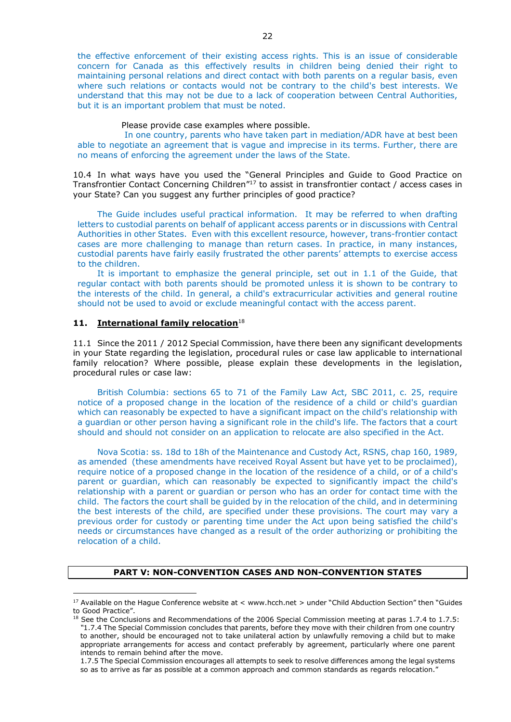the effective enforcement of their existing access rights. This is an issue of considerable concern for Canada as this effectively results in children being denied their right to maintaining personal relations and direct contact with both parents on a regular basis, even where such relations or contacts would not be contrary to the child's best interests. We understand that this may not be due to a lack of cooperation between Central Authorities, but it is an important problem that must be noted.

#### Please provide case examples where possible.

In one country, parents who have taken part in mediation/ADR have at best been able to negotiate an agreement that is vague and imprecise in its terms. Further, there are no means of enforcing the agreement under the laws of the State.

10.4 In what ways have you used the "General Principles and Guide to Good Practice on Transfrontier Contact Concerning Children"17 to assist in transfrontier contact / access cases in your State? Can you suggest any further principles of good practice?

The Guide includes useful practical information. It may be referred to when drafting letters to custodial parents on behalf of applicant access parents or in discussions with Central Authorities in other States. Even with this excellent resource, however, trans-frontier contact cases are more challenging to manage than return cases. In practice, in many instances, custodial parents have fairly easily frustrated the other parents' attempts to exercise access to the children.

It is important to emphasize the general principle, set out in 1.1 of the Guide, that regular contact with both parents should be promoted unless it is shown to be contrary to the interests of the child. In general, a child's extracurricular activities and general routine should not be used to avoid or exclude meaningful contact with the access parent.

# **11. International family relocation**<sup>18</sup>

<u>.</u>

11.1 Since the 2011 / 2012 Special Commission, have there been any significant developments in your State regarding the legislation, procedural rules or case law applicable to international family relocation? Where possible, please explain these developments in the legislation, procedural rules or case law:

British Columbia: sections 65 to 71 of the Family Law Act, SBC 2011, c. 25, require notice of a proposed change in the location of the residence of a child or child's guardian which can reasonably be expected to have a significant impact on the child's relationship with a guardian or other person having a significant role in the child's life. The factors that a court should and should not consider on an application to relocate are also specified in the Act.

Nova Scotia: ss. 18d to 18h of the Maintenance and Custody Act, RSNS, chap 160, 1989, as amended (these amendments have received Royal Assent but have yet to be proclaimed), require notice of a proposed change in the location of the residence of a child, or of a child's parent or guardian, which can reasonably be expected to significantly impact the child's relationship with a parent or guardian or person who has an order for contact time with the child. The factors the court shall be guided by in the relocation of the child, and in determining the best interests of the child, are specified under these provisions. The court may vary a previous order for custody or parenting time under the Act upon being satisfied the child's needs or circumstances have changed as a result of the order authorizing or prohibiting the relocation of a child.

#### **PART V: NON-CONVENTION CASES AND NON-CONVENTION STATES**

<sup>&</sup>lt;sup>17</sup> Available on the Hague Conference website at < www.hcch.net > under "Child Abduction Section" then "Guides to Good Practice".

<sup>18</sup> See the Conclusions and Recommendations of the 2006 Special Commission meeting at paras 1.7.4 to 1.7.5: *"*1.7.4 The Special Commission concludes that parents, before they move with their children from one country to another, should be encouraged not to take unilateral action by unlawfully removing a child but to make appropriate arrangements for access and contact preferably by agreement, particularly where one parent intends to remain behind after the move.

<sup>1.7.5</sup> The Special Commission encourages all attempts to seek to resolve differences among the legal systems so as to arrive as far as possible at a common approach and common standards as regards relocation."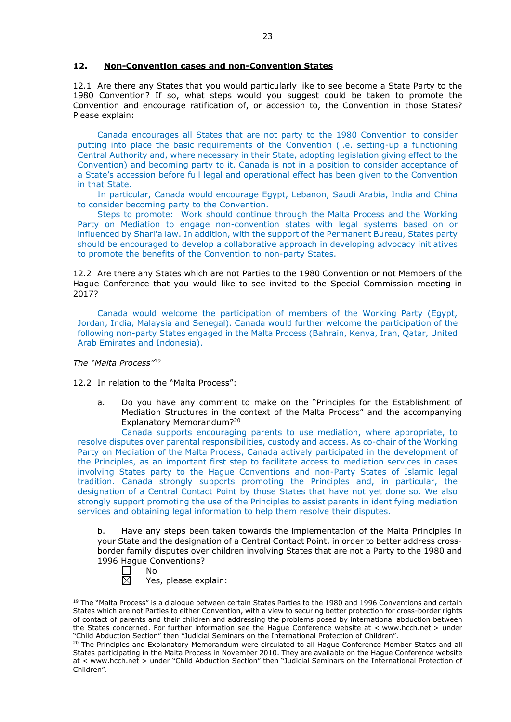### **12. Non-Convention cases and non-Convention States**

12.1 Are there any States that you would particularly like to see become a State Party to the 1980 Convention? If so, what steps would you suggest could be taken to promote the Convention and encourage ratification of, or accession to, the Convention in those States? Please explain:

Canada encourages all States that are not party to the 1980 Convention to consider putting into place the basic requirements of the Convention (i.e. setting-up a functioning Central Authority and, where necessary in their State, adopting legislation giving effect to the Convention) and becoming party to it. Canada is not in a position to consider acceptance of a State's accession before full legal and operational effect has been given to the Convention in that State.

In particular, Canada would encourage Egypt, Lebanon, Saudi Arabia, India and China to consider becoming party to the Convention.

Steps to promote: Work should continue through the Malta Process and the Working Party on Mediation to engage non-convention states with legal systems based on or influenced by Shari'a law. In addition, with the support of the Permanent Bureau, States party should be encouraged to develop a collaborative approach in developing advocacy initiatives to promote the benefits of the Convention to non-party States.

12.2 Are there any States which are not Parties to the 1980 Convention or not Members of the Hague Conference that you would like to see invited to the Special Commission meeting in 2017?

Canada would welcome the participation of members of the Working Party (Egypt, Jordan, India, Malaysia and Senegal). Canada would further welcome the participation of the following non-party States engaged in the Malta Process (Bahrain, Kenya, Iran, Qatar, United Arab Emirates and Indonesia).

*The "Malta Process"*<sup>19</sup>

12.2 In relation to the "Malta Process":

a. Do you have any comment to make on the "Principles for the Establishment of Mediation Structures in the context of the Malta Process" and the accompanying Explanatory Memorandum?20

Canada supports encouraging parents to use mediation, where appropriate, to resolve disputes over parental responsibilities, custody and access. As co-chair of the Working Party on Mediation of the Malta Process, Canada actively participated in the development of the Principles, as an important first step to facilitate access to mediation services in cases involving States party to the Hague Conventions and non-Party States of Islamic legal tradition. Canada strongly supports promoting the Principles and, in particular, the designation of a Central Contact Point by those States that have not yet done so. We also strongly support promoting the use of the Principles to assist parents in identifying mediation services and obtaining legal information to help them resolve their disputes.

b. Have any steps been taken towards the implementation of the Malta Principles in your State and the designation of a Central Contact Point, in order to better address crossborder family disputes over children involving States that are not a Party to the 1980 and 1996 Hague Conventions?



<sup>&</sup>lt;u>.</u> <sup>19</sup> The "Malta Process" is a dialogue between certain States Parties to the 1980 and 1996 Conventions and certain States which are not Parties to either Convention, with a view to securing better protection for cross-border rights of contact of parents and their children and addressing the problems posed by international abduction between the States concerned. For further information see the Hague Conference website at < www.hcch.net > under "Child Abduction Section" then "Judicial Seminars on the International Protection of Children".

<sup>20</sup> The Principles and Explanatory Memorandum were circulated to all Hague Conference Member States and all States participating in the Malta Process in November 2010. They are available on the Hague Conference website at < www.hcch.net > under "Child Abduction Section" then "Judicial Seminars on the International Protection of Children".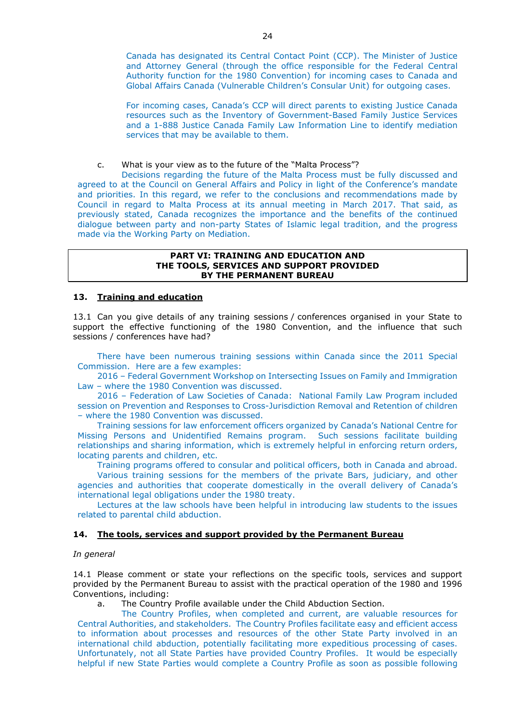Canada has designated its Central Contact Point (CCP). The Minister of Justice and Attorney General (through the office responsible for the Federal Central Authority function for the 1980 Convention) for incoming cases to Canada and Global Affairs Canada (Vulnerable Children's Consular Unit) for outgoing cases.

For incoming cases, Canada's CCP will direct parents to existing Justice Canada resources such as the Inventory of Government-Based Family Justice Services and a 1-888 Justice Canada Family Law Information Line to identify mediation services that may be available to them.

c. What is your view as to the future of the "Malta Process"?

Decisions regarding the future of the Malta Process must be fully discussed and agreed to at the Council on General Affairs and Policy in light of the Conference's mandate and priorities. In this regard, we refer to the conclusions and recommendations made by Council in regard to Malta Process at its annual meeting in March 2017. That said, as previously stated, Canada recognizes the importance and the benefits of the continued dialogue between party and non-party States of Islamic legal tradition, and the progress made via the Working Party on Mediation.

#### **PART VI: TRAINING AND EDUCATION AND THE TOOLS, SERVICES AND SUPPORT PROVIDED BY THE PERMANENT BUREAU**

## **13. Training and education**

13.1 Can you give details of any training sessions / conferences organised in your State to support the effective functioning of the 1980 Convention, and the influence that such sessions / conferences have had?

There have been numerous training sessions within Canada since the 2011 Special Commission. Here are a few examples:

2016 – Federal Government Workshop on Intersecting Issues on Family and Immigration Law – where the 1980 Convention was discussed.

2016 – Federation of Law Societies of Canada: National Family Law Program included session on Prevention and Responses to Cross-Jurisdiction Removal and Retention of children – where the 1980 Convention was discussed.

Training sessions for law enforcement officers organized by Canada's National Centre for Missing Persons and Unidentified Remains program. Such sessions facilitate building relationships and sharing information, which is extremely helpful in enforcing return orders, locating parents and children, etc.

Training programs offered to consular and political officers, both in Canada and abroad. Various training sessions for the members of the private Bars, judiciary, and other agencies and authorities that cooperate domestically in the overall delivery of Canada's international legal obligations under the 1980 treaty.

Lectures at the law schools have been helpful in introducing law students to the issues related to parental child abduction.

### **14. The tools, services and support provided by the Permanent Bureau**

#### *In general*

14.1 Please comment or state your reflections on the specific tools, services and support provided by the Permanent Bureau to assist with the practical operation of the 1980 and 1996 Conventions, including:

a. The Country Profile available under the Child Abduction Section.

The Country Profiles, when completed and current, are valuable resources for Central Authorities, and stakeholders. The Country Profiles facilitate easy and efficient access to information about processes and resources of the other State Party involved in an international child abduction, potentially facilitating more expeditious processing of cases. Unfortunately, not all State Parties have provided Country Profiles. It would be especially helpful if new State Parties would complete a Country Profile as soon as possible following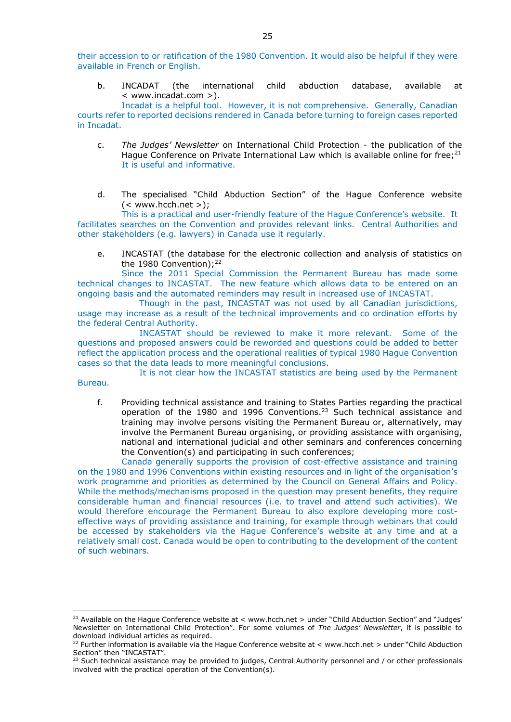their accession to or ratification of the 1980 Convention. It would also be helpful if they were available in French or English.

b. INCADAT (the international child abduction database, available at < www.incadat.com >).

Incadat is a helpful tool. However, it is not comprehensive. Generally, Canadian courts refer to reported decisions rendered in Canada before turning to foreign cases reported in Incadat.

- c. *The Judges' Newsletter* on International Child Protection the publication of the Hague Conference on Private International Law which is available online for free; $2^1$ It is useful and informative.
- d. The specialised "Child Abduction Section" of the Hague Conference website  $(<$  www.hcch.net  $>$ ):

This is a practical and user-friendly feature of the Hague Conference's website. It facilitates searches on the Convention and provides relevant links. Central Authorities and other stakeholders (e.g. lawyers) in Canada use it regularly.

e. INCASTAT (the database for the electronic collection and analysis of statistics on the 1980 Convention);<sup>22</sup>

Since the 2011 Special Commission the Permanent Bureau has made some technical changes to INCASTAT. The new feature which allows data to be entered on an ongoing basis and the automated reminders may result in increased use of INCASTAT.

Though in the past, INCASTAT was not used by all Canadian jurisdictions, usage may increase as a result of the technical improvements and co ordination efforts by the federal Central Authority.

INCASTAT should be reviewed to make it more relevant. Some of the questions and proposed answers could be reworded and questions could be added to better reflect the application process and the operational realities of typical 1980 Hague Convention cases so that the data leads to more meaningful conclusions.

It is not clear how the INCASTAT statistics are being used by the Permanent Bureau.

<u>.</u>

f. Providing technical assistance and training to States Parties regarding the practical operation of the 1980 and 1996 Conventions.23 Such technical assistance and training may involve persons visiting the Permanent Bureau or, alternatively, may involve the Permanent Bureau organising, or providing assistance with organising, national and international judicial and other seminars and conferences concerning the Convention(s) and participating in such conferences;

Canada generally supports the provision of cost-effective assistance and training on the 1980 and 1996 Conventions within existing resources and in light of the organisation's work programme and priorities as determined by the Council on General Affairs and Policy. While the methods/mechanisms proposed in the question may present benefits, they require considerable human and financial resources (i.e. to travel and attend such activities). We would therefore encourage the Permanent Bureau to also explore developing more costeffective ways of providing assistance and training, for example through webinars that could be accessed by stakeholders via the Hague Conference's website at any time and at a relatively small cost. Canada would be open to contributing to the development of the content of such webinars.

<sup>21</sup> Available on the Hague Conference website at < www.hcch.net > under "Child Abduction Section" and "Judges' Newsletter on International Child Protection". For some volumes of *The Judges' Newsletter*, it is possible to download individual articles as required.

<sup>22</sup> Further information is available via the Hague Conference website at < www.hcch.net > under "Child Abduction Section" then "INCASTAT".

<sup>23</sup> Such technical assistance may be provided to judges, Central Authority personnel and / or other professionals involved with the practical operation of the Convention(s).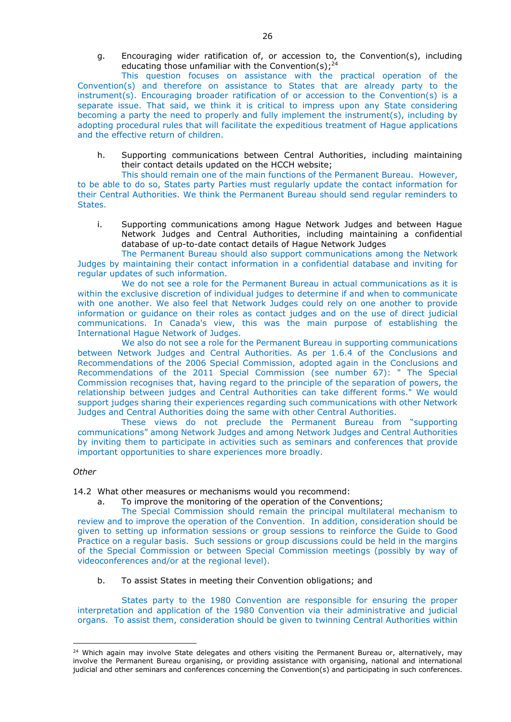g. Encouraging wider ratification of, or accession to, the Convention(s), including educating those unfamiliar with the Convention(s);<sup>24</sup>

This question focuses on assistance with the practical operation of the Convention(s) and therefore on assistance to States that are already party to the instrument(s). Encouraging broader ratification of or accession to the Convention(s) is a separate issue. That said, we think it is critical to impress upon any State considering becoming a party the need to properly and fully implement the instrument(s), including by adopting procedural rules that will facilitate the expeditious treatment of Hague applications and the effective return of children.

h. Supporting communications between Central Authorities, including maintaining their contact details updated on the HCCH website;

This should remain one of the main functions of the Permanent Bureau. However, to be able to do so, States party Parties must regularly update the contact information for their Central Authorities. We think the Permanent Bureau should send regular reminders to States.

i. Supporting communications among Hague Network Judges and between Hague Network Judges and Central Authorities, including maintaining a confidential database of up-to-date contact details of Hague Network Judges

The Permanent Bureau should also support communications among the Network Judges by maintaining their contact information in a confidential database and inviting for regular updates of such information.

We do not see a role for the Permanent Bureau in actual communications as it is within the exclusive discretion of individual judges to determine if and when to communicate with one another. We also feel that Network Judges could rely on one another to provide information or guidance on their roles as contact judges and on the use of direct judicial communications. In Canada's view, this was the main purpose of establishing the International Hague Network of Judges.

We also do not see a role for the Permanent Bureau in supporting communications between Network Judges and Central Authorities. As per 1.6.4 of the Conclusions and Recommendations of the 2006 Special Commission, adopted again in the Conclusions and Recommendations of the 2011 Special Commission (see number 67): " The Special Commission recognises that, having regard to the principle of the separation of powers, the relationship between judges and Central Authorities can take different forms." We would support judges sharing their experiences regarding such communications with other Network Judges and Central Authorities doing the same with other Central Authorities.

These views do not preclude the Permanent Bureau from "supporting communications" among Network Judges and among Network Judges and Central Authorities by inviting them to participate in activities such as seminars and conferences that provide important opportunities to share experiences more broadly.

### *Other*

-

14.2 What other measures or mechanisms would you recommend:

a. To improve the monitoring of the operation of the Conventions;

The Special Commission should remain the principal multilateral mechanism to review and to improve the operation of the Convention. In addition, consideration should be given to setting up information sessions or group sessions to reinforce the Guide to Good Practice on a regular basis. Such sessions or group discussions could be held in the margins of the Special Commission or between Special Commission meetings (possibly by way of videoconferences and/or at the regional level).

b. To assist States in meeting their Convention obligations; and

States party to the 1980 Convention are responsible for ensuring the proper interpretation and application of the 1980 Convention via their administrative and judicial organs. To assist them, consideration should be given to twinning Central Authorities within

<sup>&</sup>lt;sup>24</sup> Which again may involve State delegates and others visiting the Permanent Bureau or, alternatively, may involve the Permanent Bureau organising, or providing assistance with organising, national and international judicial and other seminars and conferences concerning the Convention(s) and participating in such conferences.